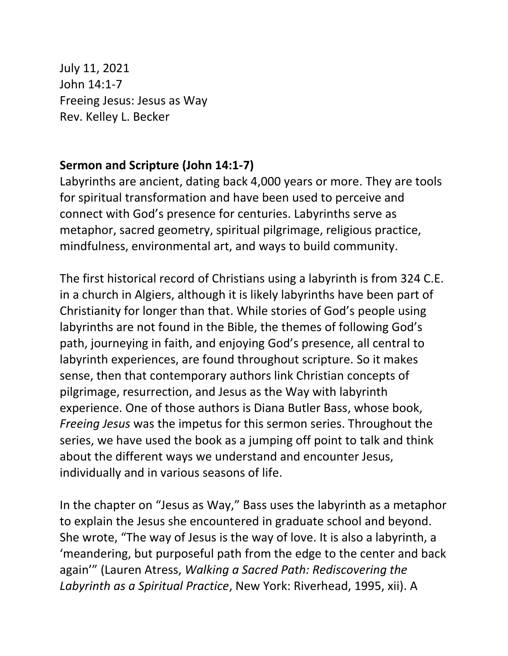July 11, 2021 John 14:1-7 Freeing Jesus: Jesus as Way Rev. Kelley L. Becker

## **Sermon and Scripture (John 14:1-7)**

Labyrinths are ancient, dating back 4,000 years or more. They are tools for spiritual transformation and have been used to perceive and connect with God's presence for centuries. Labyrinths serve as metaphor, sacred geometry, spiritual pilgrimage, religious practice, mindfulness, environmental art, and ways to build community.

The first historical record of Christians using a labyrinth is from 324 C.E. in a church in Algiers, although it is likely labyrinths have been part of Christianity for longer than that. While stories of God's people using labyrinths are not found in the Bible, the themes of following God's path, journeying in faith, and enjoying God's presence, all central to labyrinth experiences, are found throughout scripture. So it makes sense, then that contemporary authors link Christian concepts of pilgrimage, resurrection, and Jesus as the Way with labyrinth experience. One of those authors is Diana Butler Bass, whose book, *Freeing Jesus* was the impetus for this sermon series. Throughout the series, we have used the book as a jumping off point to talk and think about the different ways we understand and encounter Jesus, individually and in various seasons of life.

In the chapter on "Jesus as Way," Bass uses the labyrinth as a metaphor to explain the Jesus she encountered in graduate school and beyond. She wrote, "The way of Jesus is the way of love. It is also a labyrinth, a 'meandering, but purposeful path from the edge to the center and back again'" (Lauren Atress, *Walking a Sacred Path: Rediscovering the Labyrinth as a Spiritual Practice*, New York: Riverhead, 1995, xii). A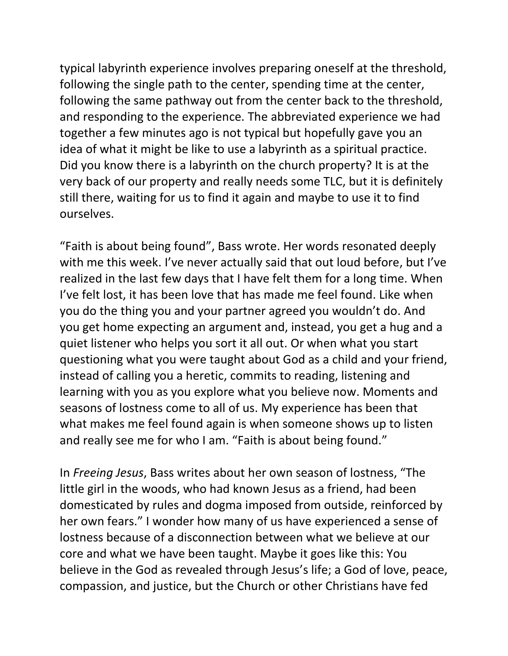typical labyrinth experience involves preparing oneself at the threshold, following the single path to the center, spending time at the center, following the same pathway out from the center back to the threshold, and responding to the experience. The abbreviated experience we had together a few minutes ago is not typical but hopefully gave you an idea of what it might be like to use a labyrinth as a spiritual practice. Did you know there is a labyrinth on the church property? It is at the very back of our property and really needs some TLC, but it is definitely still there, waiting for us to find it again and maybe to use it to find ourselves.

"Faith is about being found", Bass wrote. Her words resonated deeply with me this week. I've never actually said that out loud before, but I've realized in the last few days that I have felt them for a long time. When I've felt lost, it has been love that has made me feel found. Like when you do the thing you and your partner agreed you wouldn't do. And you get home expecting an argument and, instead, you get a hug and a quiet listener who helps you sort it all out. Or when what you start questioning what you were taught about God as a child and your friend, instead of calling you a heretic, commits to reading, listening and learning with you as you explore what you believe now. Moments and seasons of lostness come to all of us. My experience has been that what makes me feel found again is when someone shows up to listen and really see me for who I am. "Faith is about being found."

In *Freeing Jesus*, Bass writes about her own season of lostness, "The little girl in the woods, who had known Jesus as a friend, had been domesticated by rules and dogma imposed from outside, reinforced by her own fears." I wonder how many of us have experienced a sense of lostness because of a disconnection between what we believe at our core and what we have been taught. Maybe it goes like this: You believe in the God as revealed through Jesus's life; a God of love, peace, compassion, and justice, but the Church or other Christians have fed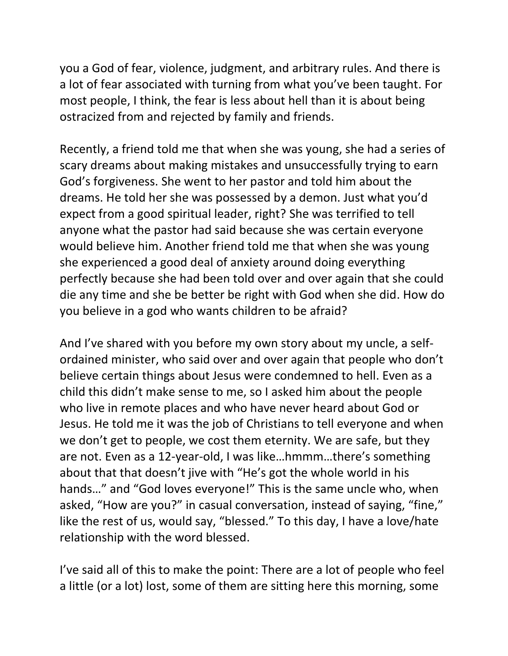you a God of fear, violence, judgment, and arbitrary rules. And there is a lot of fear associated with turning from what you've been taught. For most people, I think, the fear is less about hell than it is about being ostracized from and rejected by family and friends.

Recently, a friend told me that when she was young, she had a series of scary dreams about making mistakes and unsuccessfully trying to earn God's forgiveness. She went to her pastor and told him about the dreams. He told her she was possessed by a demon. Just what you'd expect from a good spiritual leader, right? She was terrified to tell anyone what the pastor had said because she was certain everyone would believe him. Another friend told me that when she was young she experienced a good deal of anxiety around doing everything perfectly because she had been told over and over again that she could die any time and she be better be right with God when she did. How do you believe in a god who wants children to be afraid?

And I've shared with you before my own story about my uncle, a selfordained minister, who said over and over again that people who don't believe certain things about Jesus were condemned to hell. Even as a child this didn't make sense to me, so I asked him about the people who live in remote places and who have never heard about God or Jesus. He told me it was the job of Christians to tell everyone and when we don't get to people, we cost them eternity. We are safe, but they are not. Even as a 12-year-old, I was like…hmmm…there's something about that that doesn't jive with "He's got the whole world in his hands…" and "God loves everyone!" This is the same uncle who, when asked, "How are you?" in casual conversation, instead of saying, "fine," like the rest of us, would say, "blessed." To this day, I have a love/hate relationship with the word blessed.

I've said all of this to make the point: There are a lot of people who feel a little (or a lot) lost, some of them are sitting here this morning, some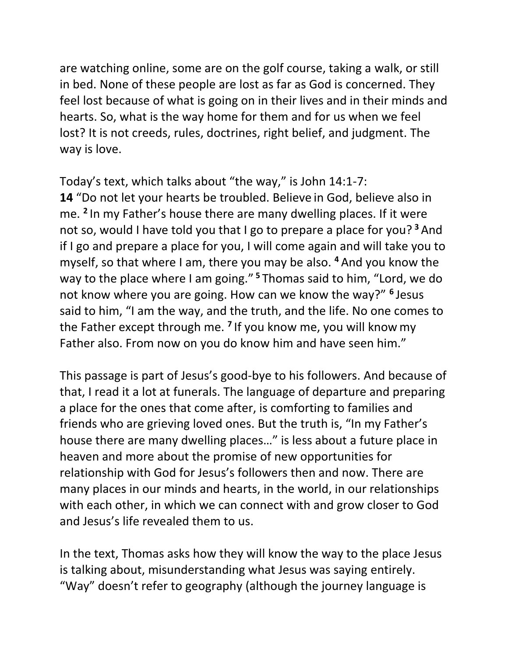are watching online, some are on the golf course, taking a walk, or still in bed. None of these people are lost as far as God is concerned. They feel lost because of what is going on in their lives and in their minds and hearts. So, what is the way home for them and for us when we feel lost? It is not creeds, rules, doctrines, right belief, and judgment. The way is love.

Today's text, which talks about "the way," is John 14:1-7: **14** "Do not let your hearts be troubled. Believe in God, believe also in me. **<sup>2</sup>** In my Father's house there are many dwelling places. If it were not so, would I have told you that I go to prepare a place for you? **<sup>3</sup>** And if I go and prepare a place for you, I will come again and will take you to myself, so that where I am, there you may be also. **<sup>4</sup>** And you know the way to the place where I am going." **<sup>5</sup>** Thomas said to him, "Lord, we do not know where you are going. How can we know the way?" **<sup>6</sup>** Jesus said to him, "I am the way, and the truth, and the life. No one comes to the Father except through me. **<sup>7</sup>** If you know me, you will know my Father also. From now on you do know him and have seen him."

This passage is part of Jesus's good-bye to his followers. And because of that, I read it a lot at funerals. The language of departure and preparing a place for the ones that come after, is comforting to families and friends who are grieving loved ones. But the truth is, "In my Father's house there are many dwelling places…" is less about a future place in heaven and more about the promise of new opportunities for relationship with God for Jesus's followers then and now. There are many places in our minds and hearts, in the world, in our relationships with each other, in which we can connect with and grow closer to God and Jesus's life revealed them to us.

In the text, Thomas asks how they will know the way to the place Jesus is talking about, misunderstanding what Jesus was saying entirely. "Way" doesn't refer to geography (although the journey language is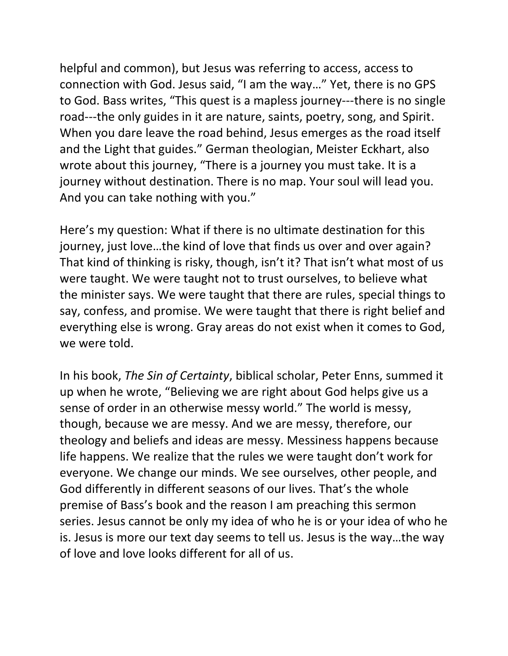helpful and common), but Jesus was referring to access, access to connection with God. Jesus said, "I am the way…" Yet, there is no GPS to God. Bass writes, "This quest is a mapless journey---there is no single road---the only guides in it are nature, saints, poetry, song, and Spirit. When you dare leave the road behind, Jesus emerges as the road itself and the Light that guides." German theologian, Meister Eckhart, also wrote about this journey, "There is a journey you must take. It is a journey without destination. There is no map. Your soul will lead you. And you can take nothing with you."

Here's my question: What if there is no ultimate destination for this journey, just love…the kind of love that finds us over and over again? That kind of thinking is risky, though, isn't it? That isn't what most of us were taught. We were taught not to trust ourselves, to believe what the minister says. We were taught that there are rules, special things to say, confess, and promise. We were taught that there is right belief and everything else is wrong. Gray areas do not exist when it comes to God, we were told.

In his book, *The Sin of Certainty*, biblical scholar, Peter Enns, summed it up when he wrote, "Believing we are right about God helps give us a sense of order in an otherwise messy world." The world is messy, though, because we are messy. And we are messy, therefore, our theology and beliefs and ideas are messy. Messiness happens because life happens. We realize that the rules we were taught don't work for everyone. We change our minds. We see ourselves, other people, and God differently in different seasons of our lives. That's the whole premise of Bass's book and the reason I am preaching this sermon series. Jesus cannot be only my idea of who he is or your idea of who he is. Jesus is more our text day seems to tell us. Jesus is the way…the way of love and love looks different for all of us.